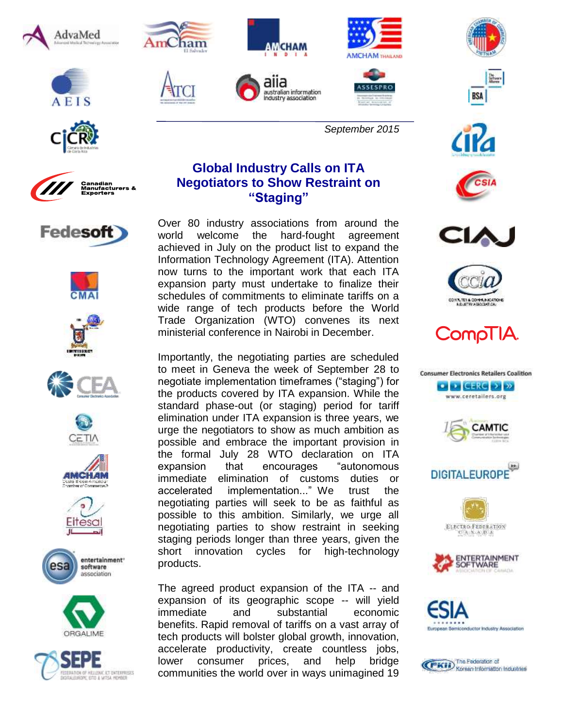











































## **Global Industry Calls on ITA Negotiators to Show Restraint on "Staging"**

Over 80 industry associations from around the world welcome the hard-fought agreement achieved in July on the product list to expand the Information Technology Agreement (ITA). Attention now turns to the important work that each ITA expansion party must undertake to finalize their schedules of commitments to eliminate tariffs on a wide range of tech products before the World Trade Organization (WTO) convenes its next ministerial conference in Nairobi in December.

Importantly, the negotiating parties are scheduled to meet in Geneva the week of September 28 to negotiate implementation timeframes ("staging") for the products covered by ITA expansion. While the standard phase-out (or staging) period for tariff elimination under ITA expansion is three years, we urge the negotiators to show as much ambition as possible and embrace the important provision in the formal July 28 WTO declaration on ITA expansion that encourages "autonomous immediate elimination of customs duties or accelerated implementation..." We trust the negotiating parties will seek to be as faithful as possible to this ambition. Similarly, we urge all negotiating parties to show restraint in seeking staging periods longer than three years, given the short innovation cycles for high-technology products.

The agreed product expansion of the ITA -- and expansion of its geographic scope -- will yield immediate and substantial economic benefits. Rapid removal of tariffs on a vast array of tech products will bolster global growth, innovation, accelerate productivity, create countless jobs, lower consumer prices, and help bridge communities the world over in ways unimagined 19



**BSA**